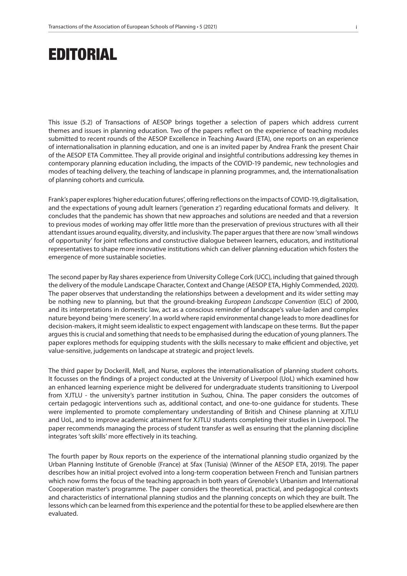## EDITORIAL

This issue (5.2) of Transactions of AESOP brings together a selection of papers which address current themes and issues in planning education. Two of the papers reflect on the experience of teaching modules submitted to recent rounds of the AESOP Excellence in Teaching Award (ETA), one reports on an experience of internationalisation in planning education, and one is an invited paper by Andrea Frank the present Chair of the AESOP ETA Committee. They all provide original and insightful contributions addressing key themes in contemporary planning education including, the impacts of the COVID-19 pandemic, new technologies and modes of teaching delivery, the teaching of landscape in planning programmes, and, the internationalisation of planning cohorts and curricula.

Frank's paper explores 'higher education futures', offering reflections on the impacts of COVID-19, digitalisation, and the expectations of young adult learners ('generation z') regarding educational formats and delivery. It concludes that the pandemic has shown that new approaches and solutions are needed and that a reversion to previous modes of working may offer little more than the preservation of previous structures with all their attendant issues around equality, diversity, and inclusivity. The paper argues that there are now 'small windows of opportunity' for joint reflections and constructive dialogue between learners, educators, and institutional representatives to shape more innovative institutions which can deliver planning education which fosters the emergence of more sustainable societies.

The second paper by Ray shares experience from University College Cork (UCC), including that gained through the delivery of the module Landscape Character, Context and Change (AESOP ETA, Highly Commended, 2020). The paper observes that understanding the relationships between a development and its wider setting may be nothing new to planning, but that the ground-breaking *European Landscape Convention* (ELC) of 2000, and its interpretations in domestic law, act as a conscious reminder of landscape's value-laden and complex nature beyond being 'mere scenery'. In a world where rapid environmental change leads to more deadlines for decision-makers, it might seem idealistic to expect engagement with landscape on these terms. But the paper argues this is crucial and something that needs to be emphasised during the education of young planners. The paper explores methods for equipping students with the skills necessary to make efficient and objective, yet value-sensitive, judgements on landscape at strategic and project levels.

The third paper by Dockerill, Mell, and Nurse, explores the internationalisation of planning student cohorts. It focusses on the findings of a project conducted at the University of Liverpool (UoL) which examined how an enhanced learning experience might be delivered for undergraduate students transitioning to Liverpool from XJTLU - the university's partner institution in Suzhou, China. The paper considers the outcomes of certain pedagogic interventions such as, additional contact, and one-to-one guidance for students. These were implemented to promote complementary understanding of British and Chinese planning at XJTLU and UoL, and to improve academic attainment for XJTLU students completing their studies in Liverpool. The paper recommends managing the process of student transfer as well as ensuring that the planning discipline integrates 'soft skills' more effectively in its teaching.

The fourth paper by Roux reports on the experience of the international planning studio organized by the Urban Planning Institute of Grenoble (France) at Sfax (Tunisia) (Winner of the AESOP ETA, 2019). The paper describes how an initial project evolved into a long-term cooperation between French and Tunisian partners which now forms the focus of the teaching approach in both years of Grenoble's Urbanism and International Cooperation master's programme. The paper considers the theoretical, practical, and pedagogical contexts and characteristics of international planning studios and the planning concepts on which they are built. The lessons which can be learned from this experience and the potential for these to be applied elsewhere are then evaluated.